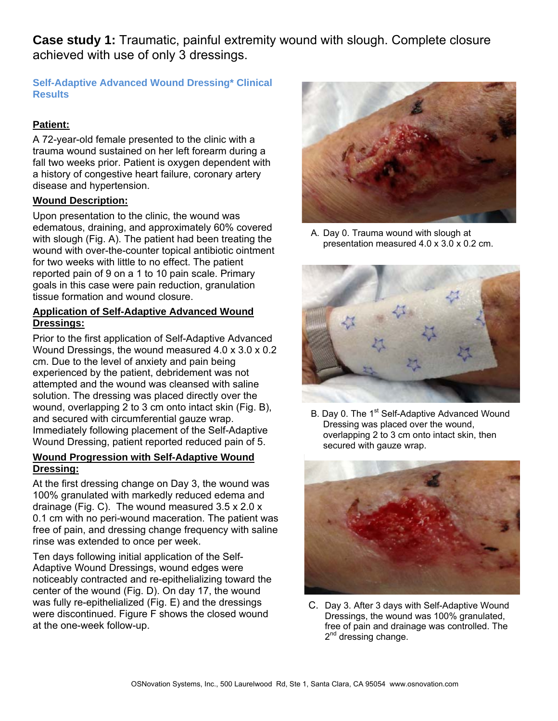**Case study 1:** Traumatic, painful extremity wound with slough. Complete closure achieved with use of only 3 dressings.

# **Self-Adaptive Advanced Wound Dressing\* Clinical Results**

# **Patient:**

A 72-year-old female presented to the clinic with a trauma wound sustained on her left forearm during a fall two weeks prior. Patient is oxygen dependent with a history of congestive heart failure, coronary artery disease and hypertension.

## **Wound Description:**

Upon presentation to the clinic, the wound was edematous, draining, and approximately 60% covered with slough (Fig. A). The patient had been treating the wound with over-the-counter topical antibiotic ointment for two weeks with little to no effect. The patient reported pain of 9 on a 1 to 10 pain scale. Primary goals in this case were pain reduction, granulation tissue formation and wound closure.

#### **Application of Self-Adaptive Advanced Wound Dressings:**

Prior to the first application of Self-Adaptive Advanced Wound Dressings, the wound measured 4.0 x 3.0 x 0.2 cm. Due to the level of anxiety and pain being experienced by the patient, debridement was not attempted and the wound was cleansed with saline solution. The dressing was placed directly over the wound, overlapping 2 to 3 cm onto intact skin (Fig. B), and secured with circumferential gauze wrap. Immediately following placement of the Self-Adaptive Wound Dressing, patient reported reduced pain of 5.

#### **Wound Progression with Self-Adaptive Wound Dressing:**

At the first dressing change on Day 3, the wound was 100% granulated with markedly reduced edema and drainage (Fig. C). The wound measured 3.5 x 2.0 x 0.1 cm with no peri-wound maceration. The patient was free of pain, and dressing change frequency with saline rinse was extended to once per week.

Ten days following initial application of the Self-Adaptive Wound Dressings, wound edges were noticeably contracted and re-epithelializing toward the center of the wound (Fig. D). On day 17, the wound was fully re-epithelialized (Fig. E) and the dressings were discontinued. Figure F shows the closed wound at the one-week follow-up.



A. Day 0. Trauma wound with slough at presentation measured 4.0 x 3.0 x 0.2 cm.



B. Day 0. The 1<sup>st</sup> Self-Adaptive Advanced Wound Dressing was placed over the wound, overlapping 2 to 3 cm onto intact skin, then secured with gauze wrap.



C. Day 3. After 3 days with Self-Adaptive Wound Dressings, the wound was 100% granulated, free of pain and drainage was controlled. The  $2<sup>nd</sup>$  dressing change.